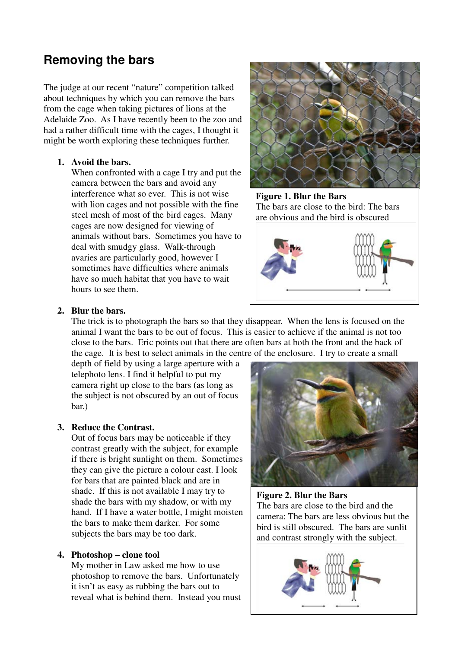# **Removing the bars**

The judge at our recent "nature" competition talked about techniques by which you can remove the bars from the cage when taking pictures of lions at the Adelaide Zoo. As I have recently been to the zoo and had a rather difficult time with the cages, I thought it might be worth exploring these techniques further.

### **1. Avoid the bars.**

When confronted with a cage I try and put the camera between the bars and avoid any interference what so ever. This is not wise with lion cages and not possible with the fine steel mesh of most of the bird cages. Many cages are now designed for viewing of animals without bars. Sometimes you have to deal with smudgy glass. Walk-through avaries are particularly good, however I sometimes have difficulties where animals have so much habitat that you have to wait hours to see them.



**Figure 1. Blur the Bars**  The bars are close to the bird: The bars are obvious and the bird is obscured



### **2. Blur the bars.**

The trick is to photograph the bars so that they disappear. When the lens is focused on the animal I want the bars to be out of focus. This is easier to achieve if the animal is not too close to the bars. Eric points out that there are often bars at both the front and the back of the cage. It is best to select animals in the centre of the enclosure. I try to create a small

depth of field by using a large aperture with a telephoto lens. I find it helpful to put my camera right up close to the bars (as long as the subject is not obscured by an out of focus bar.)

# **3. Reduce the Contrast.**

Out of focus bars may be noticeable if they contrast greatly with the subject, for example if there is bright sunlight on them. Sometimes they can give the picture a colour cast. I look for bars that are painted black and are in shade. If this is not available I may try to shade the bars with my shadow, or with my hand. If I have a water bottle, I might moisten the bars to make them darker. For some subjects the bars may be too dark.

# **4. Photoshop – clone tool**

My mother in Law asked me how to use photoshop to remove the bars. Unfortunately it isn't as easy as rubbing the bars out to reveal what is behind them. Instead you must



**Figure 2. Blur the Bars**  The bars are close to the bird and the camera: The bars are less obvious but the bird is still obscured. The bars are sunlit and contrast strongly with the subject.

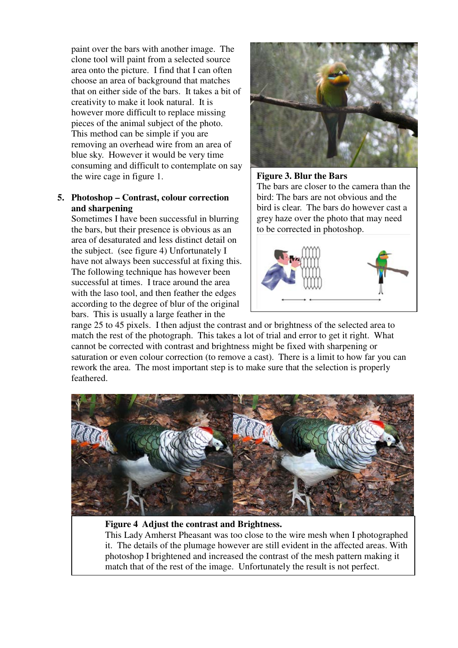paint over the bars with another image. The clone tool will paint from a selected source area onto the picture. I find that I can often choose an area of background that matches that on either side of the bars. It takes a bit of creativity to make it look natural. It is however more difficult to replace missing pieces of the animal subject of the photo. This method can be simple if you are removing an overhead wire from an area of blue sky. However it would be very time consuming and difficult to contemplate on say the wire cage in figure 1.

### **5. Photoshop – Contrast, colour correction and sharpening**

Sometimes I have been successful in blurring the bars, but their presence is obvious as an area of desaturated and less distinct detail on the subject. (see figure 4) Unfortunately I have not always been successful at fixing this. The following technique has however been successful at times. I trace around the area with the laso tool, and then feather the edges according to the degree of blur of the original bars. This is usually a large feather in the



### **Figure 3. Blur the Bars**

The bars are closer to the camera than the bird: The bars are not obvious and the bird is clear. The bars do however cast a grey haze over the photo that may need to be corrected in photoshop.



range 25 to 45 pixels. I then adjust the contrast and or brightness of the selected area to match the rest of the photograph. This takes a lot of trial and error to get it right. What cannot be corrected with contrast and brightness might be fixed with sharpening or saturation or even colour correction (to remove a cast). There is a limit to how far you can rework the area. The most important step is to make sure that the selection is properly feathered.



#### **Figure 4 Adjust the contrast and Brightness.**

This Lady Amherst Pheasant was too close to the wire mesh when I photographed it. The details of the plumage however are still evident in the affected areas. With photoshop I brightened and increased the contrast of the mesh pattern making it match that of the rest of the image. Unfortunately the result is not perfect.